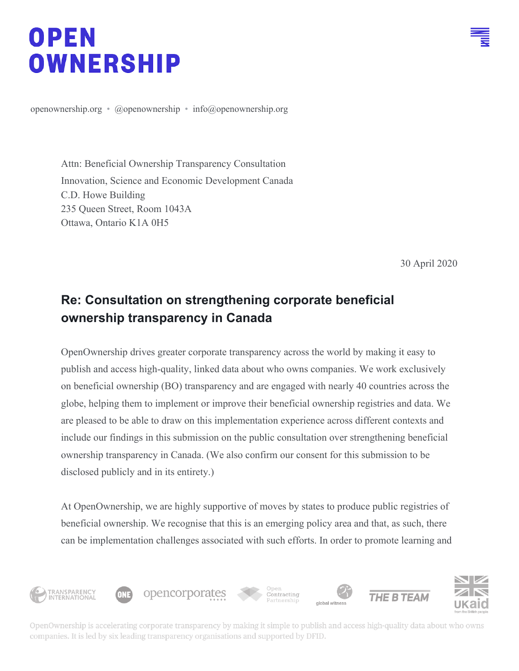# OPEN **OWNERSHIP**

[openownership.org](https://openownership.org/) • [@openownership](https://twitter.com/OpenOwnership/media) • [info@openownership.org](mailto:info@openownership.org)

Attn: Beneficial Ownership Transparency Consultation Innovation, Science and Economic Development Canada C.D. Howe Building 235 Queen Street, Room 1043A Ottawa, Ontario K1A 0H5

30 April 2020

# **Re: Consultation on strengthening corporate beneficial ownership transparency in Canada**

OpenOwnership drives greater corporate transparency across the world by making it easy to publish and access high-quality, linked data about who owns companies. We work exclusively on beneficial ownership (BO) transparency and are engaged with nearly 40 countries across the globe, helping them to implement or improve their beneficial ownership registries and data. We are pleased to be able to draw on this implementation experience across different contexts and include our findings in this submission on the public consultation over strengthening beneficial ownership transparency in Canada. (We also confirm our consent for this submission to be disclosed publicly and in its entirety.)

At OpenOwnership, we are highly supportive of moves by states to produce public registries of beneficial ownership. We recognise that this is an emerging policy area and that, as such, there can be implementation challenges associated with such efforts. In order to promote learning and



OpenOwnership is accelerating corporate transparency by making it simple to publish and access high-quality data about who owns companies. It is led by six leading transparency organisations and supported by DFID.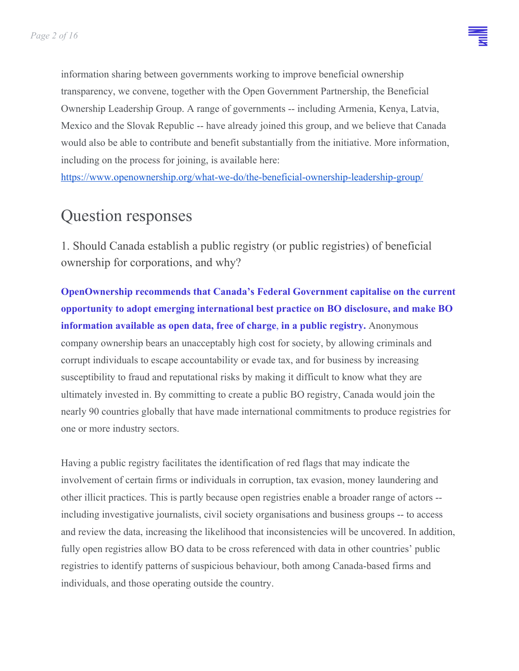information sharing between governments working to improve beneficial ownership transparency, we convene, together with the Open Government Partnership, the Beneficial Ownership Leadership Group. A range of governments -- including Armenia, Kenya, Latvia, Mexico and the Slovak Republic -- have already joined this group, and we believe that Canada would also be able to contribute and benefit substantially from the initiative. More information, including on the process for joining, is available here:

<https://www.openownership.org/what-we-do/the-beneficial-ownership-leadership-group/>

# Question responses

1. Should Canada establish a public registry (or public registries) of beneficial ownership for corporations, and why?

**OpenOwnership recommends that Canada's Federal Government capitalise on the current opportunity to adopt emerging international best practice on BO disclosure, and make BO information available as open data, free of charge**, **in a public registry.** Anonymous company ownership bears an unacceptably high cost for society, by allowing criminals and corrupt individuals to escape accountability or evade tax, and for business by increasing susceptibility to fraud and reputational risks by making it difficult to know what they are ultimately invested in. By committing to create a public BO registry, Canada would join the nearly 90 countries globally that have made international commitments to produce registries for one or more industry sectors.

Having a public registry facilitates the identification of red flags that may indicate the involvement of certain firms or individuals in corruption, tax evasion, money laundering and other illicit practices. This is partly because open registries enable a broader range of actors - including investigative journalists, civil society organisations and business groups -- to access and review the data, increasing the likelihood that inconsistencies will be uncovered. In addition, fully open registries allow BO data to be cross referenced with data in other countries' public registries to identify patterns of suspicious behaviour, both among Canada-based firms and individuals, and those operating outside the country.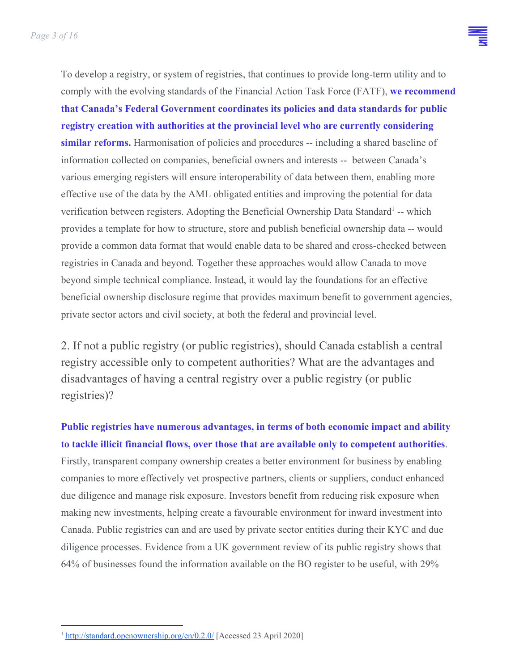To develop a registry, or system of registries, that continues to provide long-term utility and to comply with the evolving standards of the Financial Action Task Force (FATF), **we recommend that Canada's Federal Government coordinates its policies and data standards for public registry creation with authorities at the provincial level who are currently considering similar reforms.** Harmonisation of policies and procedures -- including a shared baseline of information collected on companies, beneficial owners and interests -- between Canada's various emerging registers will ensure interoperability of data between them, enabling more effective use of the data by the AML obligated entities and improving the potential for data verification between registers. Adopting the Beneficial Ownership Data Standard<sup>1</sup> -- which provides a template for how to structure, store and publish beneficial ownership data -- would provide a common data format that would enable data to be shared and cross-checked between registries in Canada and beyond. Together these approaches would allow Canada to move beyond simple technical compliance. Instead, it would lay the foundations for an effective beneficial ownership disclosure regime that provides maximum benefit to government agencies, private sector actors and civil society, at both the federal and provincial level.

2. If not a public registry (or public registries), should Canada establish a central registry accessible only to competent authorities? What are the advantages and disadvantages of having a central registry over a public registry (or public registries)?

**Public registries have numerous advantages, in terms of both economic impact and ability to tackle illicit financial flows, over those that are available only to competent authorities**. Firstly, transparent company ownership creates a better environment for business by enabling companies to more effectively vet prospective partners, clients or suppliers, conduct enhanced due diligence and manage risk exposure. Investors benefit from reducing risk exposure when making new investments, helping create a favourable environment for inward investment into Canada. Public registries can and are used by private sector entities during their KYC and due diligence processes. Evidence from a UK government review of its public registry shows that 64% of businesses found the information available on the BO register to be useful, with 29%

<sup>1</sup> <http://standard.openownership.org/en/0.2.0/> [Accessed 23 April 2020]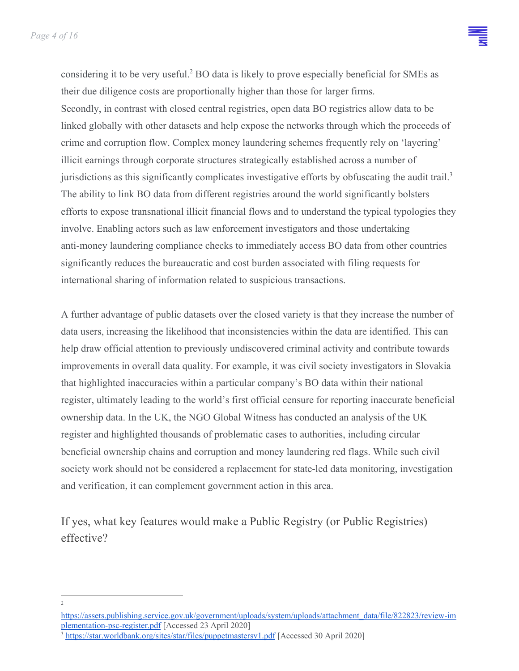considering it to be very useful.<sup>2</sup> BO data is likely to prove especially beneficial for SMEs as their due diligence costs are proportionally higher than those for larger firms. Secondly, in contrast with closed central registries, open data BO registries allow data to be linked globally with other datasets and help expose the networks through which the proceeds of crime and corruption flow. Complex money laundering schemes frequently rely on 'layering' illicit earnings through corporate structures strategically established across a number of jurisdictions as this significantly complicates investigative efforts by obfuscating the audit trail.<sup>3</sup> The ability to link BO data from different registries around the world significantly bolsters efforts to expose transnational illicit financial flows and to understand the typical typologies they involve. Enabling actors such as law enforcement investigators and those undertaking anti-money laundering compliance checks to immediately access BO data from other countries significantly reduces the bureaucratic and cost burden associated with filing requests for international sharing of information related to suspicious transactions.

A further advantage of public datasets over the closed variety is that they increase the number of data users, increasing the likelihood that inconsistencies within the data are identified. This can help draw official attention to previously undiscovered criminal activity and contribute towards improvements in overall data quality. For example, it was civil society investigators in Slovakia that highlighted inaccuracies within a particular company's BO data within their national register, ultimately leading to the world's first official censure for reporting inaccurate beneficial ownership data. In the UK, the NGO Global Witness has conducted an analysis of the UK register and highlighted thousands of problematic cases to authorities, including circular beneficial ownership chains and corruption and money laundering red flags. While such civil society work should not be considered a replacement for state-led data monitoring, investigation and verification, it can complement government action in this area.

If yes, what key features would make a Public Registry (or Public Registries) effective?

<sup>2</sup>

[https://assets.publishing.service.gov.uk/government/uploads/system/uploads/attachment\\_data/file/822823/review-im](https://assets.publishing.service.gov.uk/government/uploads/system/uploads/attachment_data/file/822823/review-implementation-psc-register.pdf) [plementation-psc-register.pdf](https://assets.publishing.service.gov.uk/government/uploads/system/uploads/attachment_data/file/822823/review-implementation-psc-register.pdf) [Accessed 23 April 2020]

<sup>3</sup> <https://star.worldbank.org/sites/star/files/puppetmastersv1.pdf> [Accessed 30 April 2020]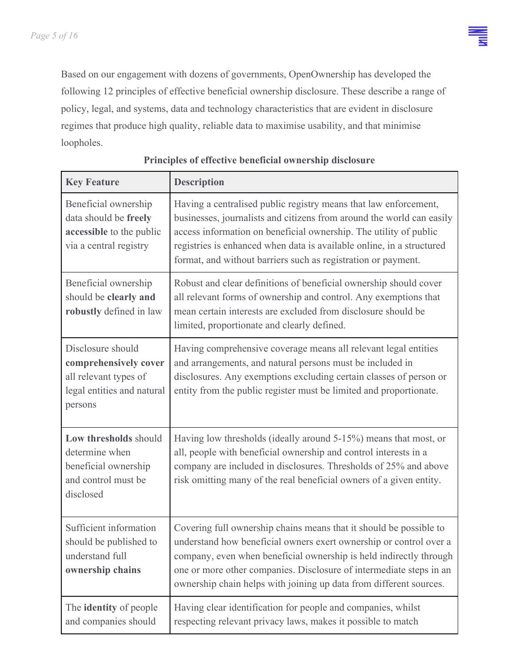

Based on our engagement with dozens of governments, OpenOwnership has developed the following 12 principles of effective beneficial ownership disclosure. These describe a range of policy, legal, and systems, data and technology characteristics that are evident in disclosure regimes that produce high quality, reliable data to maximise usability, and that minimise loopholes.

| <b>Key Feature</b>                                                                                           | <b>Description</b>                                                                                                                                                                                                                                                                                                                                          |
|--------------------------------------------------------------------------------------------------------------|-------------------------------------------------------------------------------------------------------------------------------------------------------------------------------------------------------------------------------------------------------------------------------------------------------------------------------------------------------------|
| Beneficial ownership<br>data should be freely<br>accessible to the public<br>via a central registry          | Having a centralised public registry means that law enforcement,<br>businesses, journalists and citizens from around the world can easily<br>access information on beneficial ownership. The utility of public<br>registries is enhanced when data is available online, in a structured<br>format, and without barriers such as registration or payment.    |
| Beneficial ownership<br>should be clearly and<br>robustly defined in law                                     | Robust and clear definitions of beneficial ownership should cover<br>all relevant forms of ownership and control. Any exemptions that<br>mean certain interests are excluded from disclosure should be<br>limited, proportionate and clearly defined.                                                                                                       |
| Disclosure should<br>comprehensively cover<br>all relevant types of<br>legal entities and natural<br>persons | Having comprehensive coverage means all relevant legal entities<br>and arrangements, and natural persons must be included in<br>disclosures. Any exemptions excluding certain classes of person or<br>entity from the public register must be limited and proportionate.                                                                                    |
| Low thresholds should<br>determine when<br>beneficial ownership<br>and control must be<br>disclosed          | Having low thresholds (ideally around 5-15%) means that most, or<br>all, people with beneficial ownership and control interests in a<br>company are included in disclosures. Thresholds of 25% and above<br>risk omitting many of the real beneficial owners of a given entity.                                                                             |
| Sufficient information<br>should be published to<br>understand full<br>ownership chains                      | Covering full ownership chains means that it should be possible to<br>understand how beneficial owners exert ownership or control over a<br>company, even when beneficial ownership is held indirectly through<br>one or more other companies. Disclosure of intermediate steps in an<br>ownership chain helps with joining up data from different sources. |
| The <b>identity</b> of people<br>and companies should                                                        | Having clear identification for people and companies, whilst<br>respecting relevant privacy laws, makes it possible to match                                                                                                                                                                                                                                |

#### **Principles of effective beneficial ownership disclosure**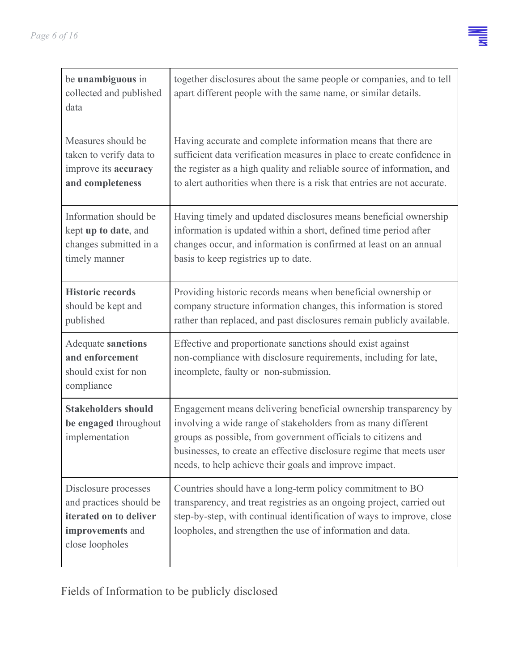

| be unambiguous in<br>collected and published<br>data                                                             | together disclosures about the same people or companies, and to tell<br>apart different people with the same name, or similar details.                                                                                                                                                                                               |
|------------------------------------------------------------------------------------------------------------------|--------------------------------------------------------------------------------------------------------------------------------------------------------------------------------------------------------------------------------------------------------------------------------------------------------------------------------------|
| Measures should be<br>taken to verify data to<br>improve its accuracy<br>and completeness                        | Having accurate and complete information means that there are<br>sufficient data verification measures in place to create confidence in<br>the register as a high quality and reliable source of information, and<br>to alert authorities when there is a risk that entries are not accurate.                                        |
| Information should be<br>kept up to date, and<br>changes submitted in a<br>timely manner                         | Having timely and updated disclosures means beneficial ownership<br>information is updated within a short, defined time period after<br>changes occur, and information is confirmed at least on an annual<br>basis to keep registries up to date.                                                                                    |
| <b>Historic records</b><br>should be kept and<br>published                                                       | Providing historic records means when beneficial ownership or<br>company structure information changes, this information is stored<br>rather than replaced, and past disclosures remain publicly available.                                                                                                                          |
| <b>Adequate sanctions</b><br>and enforcement<br>should exist for non<br>compliance                               | Effective and proportionate sanctions should exist against<br>non-compliance with disclosure requirements, including for late,<br>incomplete, faulty or non-submission.                                                                                                                                                              |
| <b>Stakeholders should</b><br>be engaged throughout<br>implementation                                            | Engagement means delivering beneficial ownership transparency by<br>involving a wide range of stakeholders from as many different<br>groups as possible, from government officials to citizens and<br>businesses, to create an effective disclosure regime that meets user<br>needs, to help achieve their goals and improve impact. |
| Disclosure processes<br>and practices should be<br>iterated on to deliver<br>improvements and<br>close loopholes | Countries should have a long-term policy commitment to BO<br>transparency, and treat registries as an ongoing project, carried out<br>step-by-step, with continual identification of ways to improve, close<br>loopholes, and strengthen the use of information and data.                                                            |

Fields of Information to be publicly disclosed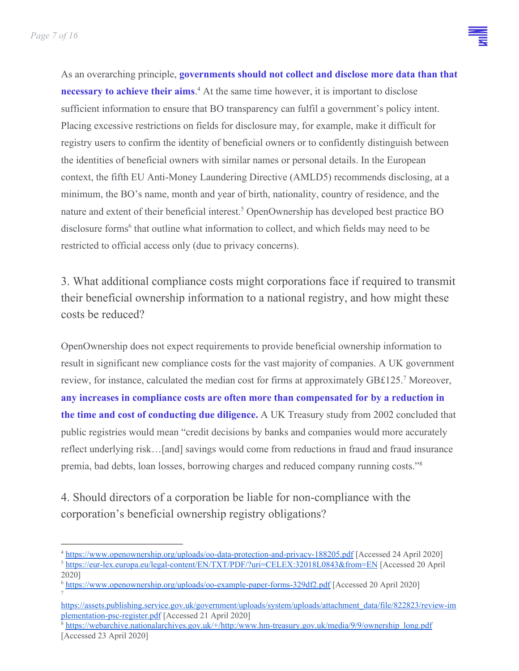

As an overarching principle, **governments should not collect and disclose more data than that necessary to achieve their aims**.<sup>4</sup> At the same time however, it is important to disclose sufficient information to ensure that BO transparency can fulfil a government's policy intent. Placing excessive restrictions on fields for disclosure may, for example, make it difficult for registry users to confirm the identity of beneficial owners or to confidently distinguish between the identities of beneficial owners with similar names or personal details. In the European context, the fifth EU Anti-Money Laundering Directive (AMLD5) recommends disclosing, at a minimum, the BO's name, month and year of birth, nationality, country of residence, and the nature and extent of their beneficial interest.<sup>5</sup> OpenOwnership has developed best practice BO disclosure forms<sup>6</sup> that outline what information to collect, and which fields may need to be restricted to official access only (due to privacy concerns).

3. What additional compliance costs might corporations face if required to transmit their beneficial ownership information to a national registry, and how might these costs be reduced?

OpenOwnership does not expect requirements to provide beneficial ownership information to result in significant new compliance costs for the vast majority of companies. A UK government review, for instance, calculated the median cost for firms at approximately GB£125.<sup>7</sup> Moreover, **any increases in compliance costs are often more than compensated for by a reduction in the time and cost of conducting due diligence.** A UK Treasury study from 2002 concluded that public registries would mean "credit decisions by banks and companies would more accurately reflect underlying risk…[and] savings would come from reductions in fraud and fraud insurance premia, bad debts, loan losses, borrowing charges and reduced company running costs."<sup>8</sup>

4. Should directors of a corporation be liable for non-compliance with the corporation's beneficial ownership registry obligations?

<sup>6</sup> <https://www.openownership.org/uploads/oo-example-paper-forms-329df2.pdf> [Accessed 20 April 2020] 7

<sup>&</sup>lt;sup>4</sup> <https://www.openownership.org/uploads/oo-data-protection-and-privacy-188205.pdf> [Accessed 24 April 2020] <sup>5</sup> <https://eur-lex.europa.eu/legal-content/EN/TXT/PDF/?uri=CELEX:32018L0843&from=EN> [Accessed 20 April 2020]

[https://assets.publishing.service.gov.uk/government/uploads/system/uploads/attachment\\_data/file/822823/review-im](https://assets.publishing.service.gov.uk/government/uploads/system/uploads/attachment_data/file/822823/review-implementation-psc-register.pdf) [plementation-psc-register.pdf](https://assets.publishing.service.gov.uk/government/uploads/system/uploads/attachment_data/file/822823/review-implementation-psc-register.pdf) [Accessed 21 April 2020]

<sup>8</sup> [https://webarchive.nationalarchives.gov.uk/+/http:/www.hm-treasury.gov.uk/media/9/9/ownership\\_long.pdf](https://webarchive.nationalarchives.gov.uk/+/http:/www.hm-treasury.gov.uk/media/9/9/ownership_long.pdf) [Accessed 23 April 2020]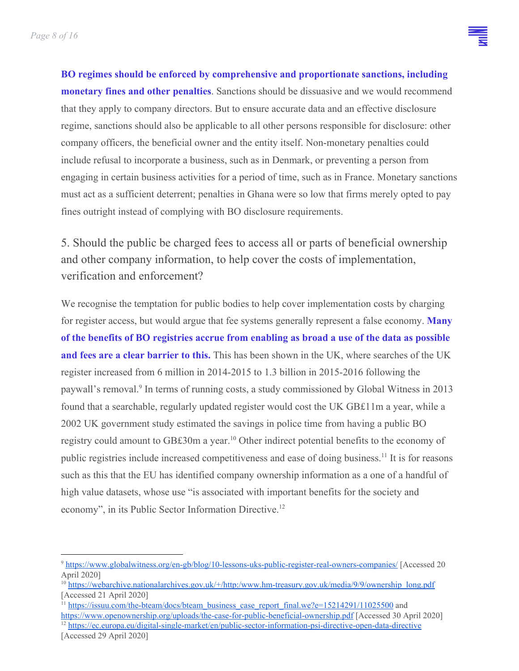**BO regimes should be enforced by comprehensive and proportionate sanctions, including monetary fines and other penalties**. Sanctions should be dissuasive and we would recommend that they apply to company directors. But to ensure accurate data and an effective disclosure regime, sanctions should also be applicable to all other persons responsible for disclosure: other company officers, the beneficial owner and the entity itself. Non-monetary penalties could include refusal to incorporate a business, such as in Denmark, or preventing a person from engaging in certain business activities for a period of time, such as in France. Monetary sanctions must act as a sufficient deterrent; penalties in Ghana were so low that firms merely opted to pay fines outright instead of complying with BO disclosure requirements.

5. Should the public be charged fees to access all or parts of beneficial ownership and other company information, to help cover the costs of implementation, verification and enforcement?

We recognise the temptation for public bodies to help cover implementation costs by charging for register access, but would argue that fee systems generally represent a false economy. **Many of the benefits of BO registries accrue from enabling as broad a use of the data as possible and fees are a clear barrier to this.** This has been shown in the UK, where searches of the UK register increased from 6 million in 2014-2015 to 1.3 billion in 2015-2016 following the paywall's removal.<sup>9</sup> In terms of running costs, a study commissioned by Global Witness in 2013 found that a searchable, regularly updated register would cost the UK GB£11m a year, while a 2002 UK government study estimated the savings in police time from having a public BO registry could amount to GB£30m a year.<sup>10</sup> Other indirect potential benefits to the economy of public registries include increased competitiveness and ease of doing business.<sup>11</sup> It is for reasons such as this that the EU has identified company ownership information as a one of a handful of high value datasets, whose use "is associated with important benefits for the society and economy", in its Public Sector Information Directive.<sup>12</sup>

<sup>9</sup> <https://www.globalwitness.org/en-gb/blog/10-lessons-uks-public-register-real-owners-companies/> [Accessed 20 April 2020]

<sup>10</sup> [https://webarchive.nationalarchives.gov.uk/+/http:/www.hm-treasury.gov.uk/media/9/9/ownership\\_long.pdf](https://webarchive.nationalarchives.gov.uk/+/http:/www.hm-treasury.gov.uk/media/9/9/ownership_long.pdf) [Accessed 21 April 2020]

<sup>&</sup>lt;sup>11</sup> [https://issuu.com/the-bteam/docs/bteam\\_business\\_case\\_report\\_final.we?e=15214291/11025500](https://issuu.com/the-bteam/docs/bteam_business_case_report_final.we?e=15214291/11025500) and

<https://www.openownership.org/uploads/the-case-for-public-beneficial-ownership.pdf> [Accessed 30 April 2020] <sup>12</sup> <https://ec.europa.eu/digital-single-market/en/public-sector-information-psi-directive-open-data-directive> [Accessed 29 April 2020]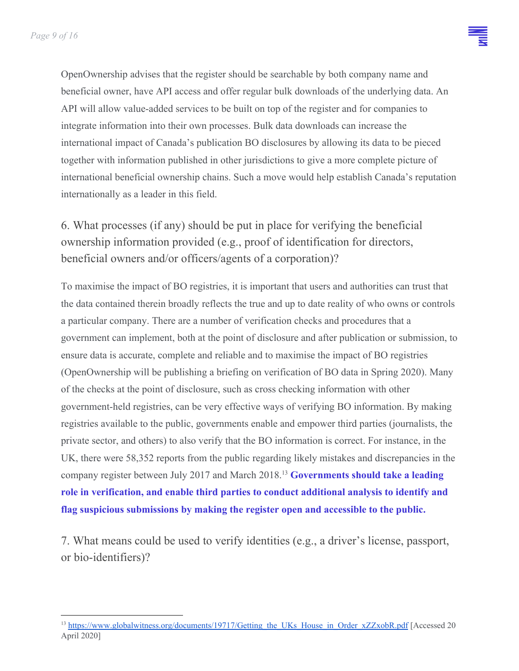OpenOwnership advises that the register should be searchable by both company name and beneficial owner, have API access and offer regular bulk downloads of the underlying data. An API will allow value-added services to be built on top of the register and for companies to integrate information into their own processes. Bulk data downloads can increase the international impact of Canada's publication BO disclosures by allowing its data to be pieced together with information published in other jurisdictions to give a more complete picture of international beneficial ownership chains. Such a move would help establish Canada's reputation internationally as a leader in this field.

6. What processes (if any) should be put in place for verifying the beneficial ownership information provided (e.g., proof of identification for directors, beneficial owners and/or officers/agents of a corporation)?

To maximise the impact of BO registries, it is important that users and authorities can trust that the data contained therein broadly reflects the true and up to date reality of who owns or controls a particular company. There are a number of verification checks and procedures that a government can implement, both at the point of disclosure and after publication or submission, to ensure data is accurate, complete and reliable and to maximise the impact of BO registries (OpenOwnership will be publishing a briefing on verification of BO data in Spring 2020). Many of the checks at the point of disclosure, such as cross checking information with other government-held registries, can be very effective ways of verifying BO information. By making registries available to the public, governments enable and empower third parties (journalists, the private sector, and others) to also verify that the BO information is correct. For instance, in the UK, there were 58,352 reports from the public regarding likely mistakes and discrepancies in the company register between July 2017 and March 2018.<sup>13</sup> Governments should take a leading **role in verification, and enable third parties to conduct additional analysis to identify and flag suspicious submissions by making the register open and accessible to the public.**

7. What means could be used to verify identities (e.g., a driver's license, passport, or bio-identifiers)?

<sup>&</sup>lt;sup>13</sup> [https://www.globalwitness.org/documents/19717/Getting\\_the\\_UKs\\_House\\_in\\_Order\\_xZZxobR.pdf](https://www.globalwitness.org/documents/19717/Getting_the_UKs_House_in_Order_xZZxobR.pdf) [Accessed 20 April 2020]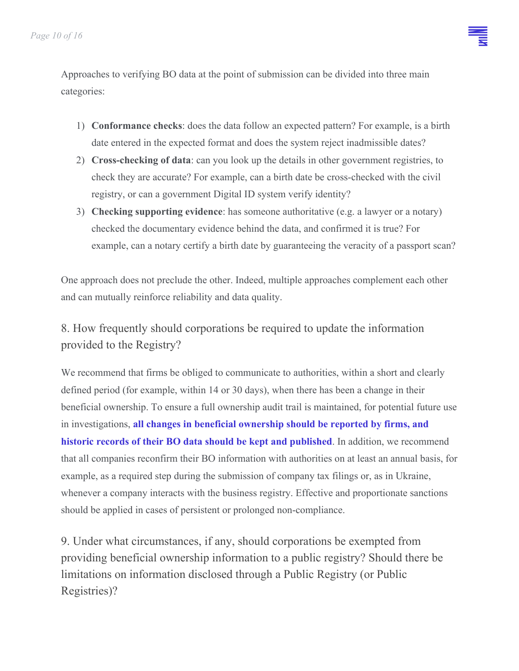Approaches to verifying BO data at the point of submission can be divided into three main categories:

- 1) **Conformance checks**: does the data follow an expected pattern? For example, is a birth date entered in the expected format and does the system reject inadmissible dates?
- 2) **Cross-checking of data**: can you look up the details in other government registries, to check they are accurate? For example, can a birth date be cross-checked with the civil registry, or can a government Digital ID system verify identity?
- 3) **Checking supporting evidence**: has someone authoritative (e.g. a lawyer or a notary) checked the documentary evidence behind the data, and confirmed it is true? For example, can a notary certify a birth date by guaranteeing the veracity of a passport scan?

One approach does not preclude the other. Indeed, multiple approaches complement each other and can mutually reinforce reliability and data quality.

## 8. How frequently should corporations be required to update the information provided to the Registry?

We recommend that firms be obliged to communicate to authorities, within a short and clearly defined period (for example, within 14 or 30 days), when there has been a change in their beneficial ownership. To ensure a full ownership audit trail is maintained, for potential future use in investigations, **all changes in beneficial ownership should be reported by firms, and historic records of their BO data should be kept and published**. In addition, we recommend that all companies reconfirm their BO information with authorities on at least an annual basis, for example, as a required step during the submission of company tax filings or, as in Ukraine, whenever a company interacts with the business registry. Effective and proportionate sanctions should be applied in cases of persistent or prolonged non-compliance.

9. Under what circumstances, if any, should corporations be exempted from providing beneficial ownership information to a public registry? Should there be limitations on information disclosed through a Public Registry (or Public Registries)?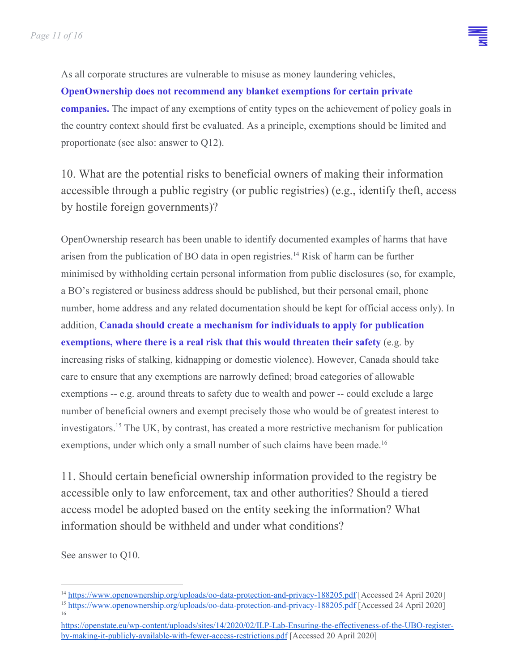As all corporate structures are vulnerable to misuse as money laundering vehicles,

**OpenOwnership does not recommend any blanket exemptions for certain private companies.** The impact of any exemptions of entity types on the achievement of policy goals in the country context should first be evaluated. As a principle, exemptions should be limited and proportionate (see also: answer to Q12).

10. What are the potential risks to beneficial owners of making their information accessible through a public registry (or public registries) (e.g., identify theft, access by hostile foreign governments)?

OpenOwnership research has been unable to identify documented examples of harms that have arisen from the publication of BO data in open registries.<sup>14</sup> Risk of harm can be further minimised by withholding certain personal information from public disclosures (so, for example, a BO's registered or business address should be published, but their personal email, phone number, home address and any related documentation should be kept for official access only). In addition, **Canada should create a mechanism for individuals to apply for publication exemptions, where there is a real risk that this would threaten their safety** (e.g. by increasing risks of stalking, kidnapping or domestic violence). However, Canada should take care to ensure that any exemptions are narrowly defined; broad categories of allowable exemptions -- e.g. around threats to safety due to wealth and power -- could exclude a large number of beneficial owners and exempt precisely those who would be of greatest interest to investigators.<sup>15</sup> The UK, by contrast, has created a more restrictive mechanism for publication exemptions, under which only a small number of such claims have been made.<sup>16</sup>

11. Should certain beneficial ownership information provided to the registry be accessible only to law enforcement, tax and other authorities? Should a tiered access model be adopted based on the entity seeking the information? What information should be withheld and under what conditions?

See answer to Q10.

<sup>14</sup> <https://www.openownership.org/uploads/oo-data-protection-and-privacy-188205.pdf> [Accessed 24 April 2020] <sup>15</sup> <https://www.openownership.org/uploads/oo-data-protection-and-privacy-188205.pdf> [Accessed 24 April 2020]

<sup>16</sup> [https://openstate.eu/wp-content/uploads/sites/14/2020/02/ILP-Lab-Ensuring-the-effectiveness-of-the-UBO-register](https://openstate.eu/wp-content/uploads/sites/14/2020/02/ILP-Lab-Ensuring-the-effectiveness-of-the-UBO-register-by-making-it-publicly-available-with-fewer-access-restrictions.pdf)[by-making-it-publicly-available-with-fewer-access-restrictions.pdf](https://openstate.eu/wp-content/uploads/sites/14/2020/02/ILP-Lab-Ensuring-the-effectiveness-of-the-UBO-register-by-making-it-publicly-available-with-fewer-access-restrictions.pdf) [Accessed 20 April 2020]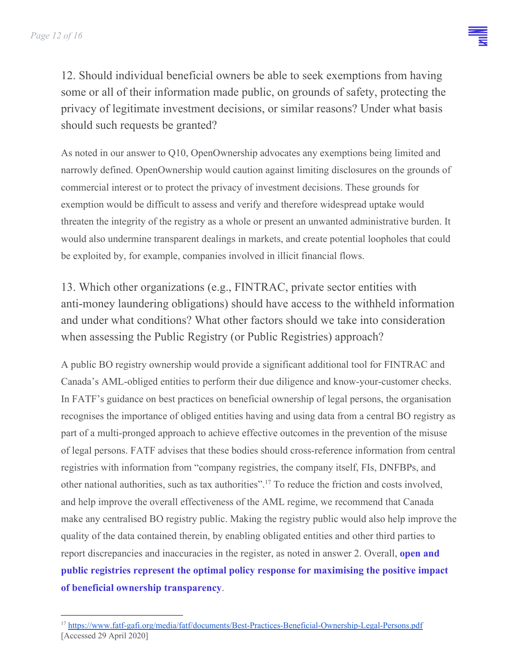12. Should individual beneficial owners be able to seek exemptions from having some or all of their information made public, on grounds of safety, protecting the privacy of legitimate investment decisions, or similar reasons? Under what basis should such requests be granted?

As noted in our answer to Q10, OpenOwnership advocates any exemptions being limited and narrowly defined. OpenOwnership would caution against limiting disclosures on the grounds of commercial interest or to protect the privacy of investment decisions. These grounds for exemption would be difficult to assess and verify and therefore widespread uptake would threaten the integrity of the registry as a whole or present an unwanted administrative burden. It would also undermine transparent dealings in markets, and create potential loopholes that could be exploited by, for example, companies involved in illicit financial flows.

13. Which other organizations (e.g., FINTRAC, private sector entities with anti-money laundering obligations) should have access to the withheld information and under what conditions? What other factors should we take into consideration when assessing the Public Registry (or Public Registries) approach?

A public BO registry ownership would provide a significant additional tool for FINTRAC and Canada's AML-obliged entities to perform their due diligence and know-your-customer checks. In FATF's guidance on best practices on beneficial ownership of legal persons, the organisation recognises the importance of obliged entities having and using data from a central BO registry as part of a multi-pronged approach to achieve effective outcomes in the prevention of the misuse of legal persons. FATF advises that these bodies should cross-reference information from central registries with information from "company registries, the company itself, FIs, DNFBPs, and other national authorities, such as tax authorities".<sup>17</sup> To reduce the friction and costs involved, and help improve the overall effectiveness of the AML regime, we recommend that Canada make any centralised BO registry public. Making the registry public would also help improve the quality of the data contained therein, by enabling obligated entities and other third parties to report discrepancies and inaccuracies in the register, as noted in answer 2. Overall, **open and public registries represent the optimal policy response for maximising the positive impact of beneficial ownership transparency**.

<sup>17</sup> <https://www.fatf-gafi.org/media/fatf/documents/Best-Practices-Beneficial-Ownership-Legal-Persons.pdf> [Accessed 29 April 2020]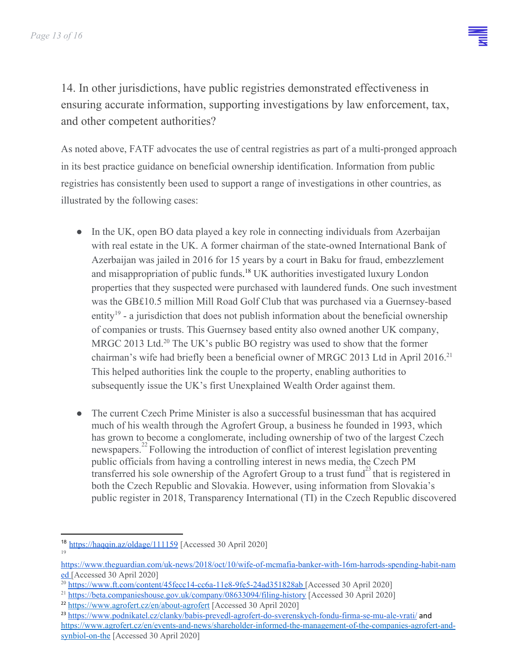14. In other jurisdictions, have public registries demonstrated effectiveness in ensuring accurate information, supporting investigations by law enforcement, tax, and other competent authorities?

As noted above, FATF advocates the use of central registries as part of a multi-pronged approach in its best practice guidance on beneficial ownership identification. Information from public registries has consistently been used to support a range of investigations in other countries, as illustrated by the following cases:

- In the UK, open BO data played a key role in connecting individuals from Azerbaijan with real estate in the UK. A former chairman of the state-owned International Bank of Azerbaijan was jailed in 2016 for 15 years by a court in Baku for fraud, embezzlement and misappropriation of public funds.<sup>18</sup> UK authorities investigated luxury London properties that they suspected were purchased with laundered funds. One such investment was the GB£10.5 million Mill Road Golf Club that was purchased via a Guernsey-based entity<sup>19</sup> - a jurisdiction that does not publish information about the beneficial ownership of companies or trusts. This Guernsey based entity also owned another UK company, MRGC 2013 Ltd.<sup>20</sup> The UK's public BO registry was used to show that the former chairman's wife had briefly been a beneficial owner of MRGC 2013 Ltd in April 2016.<sup>21</sup> This helped authorities link the couple to the property, enabling authorities to subsequently issue the UK's first Unexplained Wealth Order against them.
- The current Czech Prime Minister is also a successful businessman that has acquired much of his wealth through the Agrofert Group, a business he founded in 1993, which has grown to become a conglomerate, including ownership of two of the largest Czech newspapers.<sup>22</sup> Following the introduction of conflict of interest legislation preventing public officials from having a controlling interest in news media, the Czech PM transferred his sole ownership of the Agrofert Group to a trust fund $^{23}$  that is registered in both the Czech Republic and Slovakia. However, using information from Slovakia's public register in 2018, Transparency International (TI) in the Czech Republic discovered

<sup>18</sup> <https://haqqin.az/oldage/111159> [Accessed 30 April 2020] 19

[https://www.theguardian.com/uk-news/2018/oct/10/wife-of-mcmafia-banker-with-16m-harrods-spending-habit-nam](https://www.theguardian.com/uk-news/2018/oct/10/wife-of-mcmafia-banker-with-16m-harrods-spending-habit-named) [ed](https://www.theguardian.com/uk-news/2018/oct/10/wife-of-mcmafia-banker-with-16m-harrods-spending-habit-named) [Accessed 30 April 2020]

<sup>20</sup> <https://www.ft.com/content/45fecc14-cc6a-11e8-9fe5-24ad351828ab> [Accessed 30 April 2020]

<sup>21</sup> <https://beta.companieshouse.gov.uk/company/08633094/filing-history> [Accessed 30 April 2020]

<sup>&</sup>lt;sup>22</sup> <https://www.agrofert.cz/en/about-agrofert> [Accessed 30 April 2020]

<sup>&</sup>lt;sup>23</sup> <https://www.podnikatel.cz/clanky/babis-prevedl-agrofert-do-sverenskych-fondu-firma-se-mu-ale-vrati/> and [https://www.agrofert.cz/en/events-and-news/shareholder-informed-the-management-of-the-companies-agrofert-and](https://www.agrofert.cz/en/events-and-news/shareholder-informed-the-management-of-the-companies-agrofert-and-synbiol-on-the)[synbiol-on-the](https://www.agrofert.cz/en/events-and-news/shareholder-informed-the-management-of-the-companies-agrofert-and-synbiol-on-the) [Accessed 30 April 2020]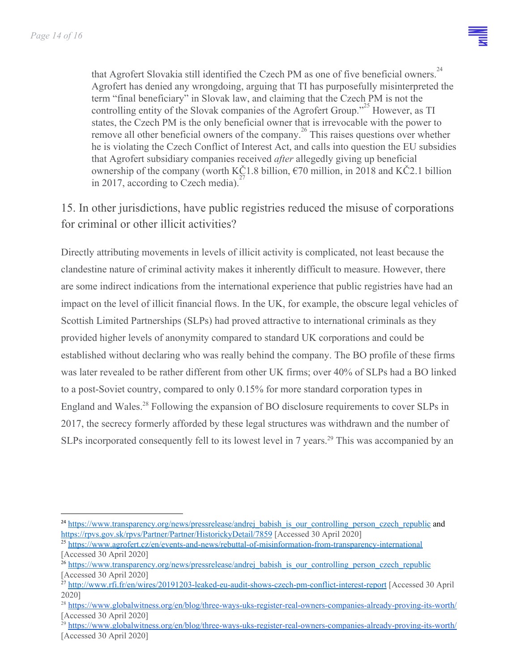that Agrofert Slovakia still identified the Czech PM as one of five beneficial owners.<sup>24</sup> Agrofert has denied any wrongdoing, arguing that TI has purposefully misinterpreted the term "final beneficiary" in Slovak law, and claiming that the Czech PM is not the controlling entity of the Slovak companies of the Agrofert Group."<sup>25</sup> However, as TI states, the Czech PM is the only beneficial owner that is irrevocable with the power to remove all other beneficial owners of the company.<sup>26</sup> This raises questions over whether he is violating the Czech Conflict of Interest Act, and calls into question the EU subsidies that Agrofert subsidiary companies received *after* allegedly giving up beneficial ownership of the company (worth KČ1.8 billion,  $\epsilon$ 70 million, in 2018 and KČ2.1 billion in 2017, according to Czech media).

15. In other jurisdictions, have public registries reduced the misuse of corporations for criminal or other illicit activities?

Directly attributing movements in levels of illicit activity is complicated, not least because the clandestine nature of criminal activity makes it inherently difficult to measure. However, there are some indirect indications from the international experience that public registries have had an impact on the level of illicit financial flows. In the UK, for example, the obscure legal vehicles of Scottish Limited Partnerships (SLPs) had proved attractive to international criminals as they provided higher levels of anonymity compared to standard UK corporations and could be established without declaring who was really behind the company. The BO profile of these firms was later revealed to be rather different from other UK firms; over 40% of SLPs had a BO linked to a post-Soviet country, compared to only 0.15% for more standard corporation types in England and Wales.<sup>28</sup> Following the expansion of BO disclosure requirements to cover SLPs in 2017, the secrecy formerly afforded by these legal structures was withdrawn and the number of SLPs incorporated consequently fell to its lowest level in 7 years.<sup>29</sup> This was accompanied by an

<sup>&</sup>lt;sup>24</sup> [https://www.transparency.org/news/pressrelease/andrej\\_babish\\_is\\_our\\_controlling\\_person\\_czech\\_republic](https://www.transparency.org/news/pressrelease/andrej_babish_is_our_controlling_person_czech_republic) and <https://rpvs.gov.sk/rpvs/Partner/Partner/HistorickyDetail/7859> [Accessed 30 April 2020]

<sup>25</sup> <https://www.agrofert.cz/en/events-and-news/rebuttal-of-misinformation-from-transparency-international> [Accessed 30 April 2020]

<sup>&</sup>lt;sup>26</sup> [https://www.transparency.org/news/pressrelease/andrej\\_babish\\_is\\_our\\_controlling\\_person\\_czech\\_republic](https://www.transparency.org/news/pressrelease/andrej_babish_is_our_controlling_person_czech_republic) [Accessed 30 April 2020]

<sup>&</sup>lt;sup>27</sup> <http://www.rfi.fr/en/wires/20191203-leaked-eu-audit-shows-czech-pm-conflict-interest-report> [Accessed 30 April 2020]

<sup>28</sup> <https://www.globalwitness.org/en/blog/three-ways-uks-register-real-owners-companies-already-proving-its-worth/> [Accessed 30 April 2020]

<sup>&</sup>lt;sup>29</sup> <https://www.globalwitness.org/en/blog/three-ways-uks-register-real-owners-companies-already-proving-its-worth/> [Accessed 30 April 2020]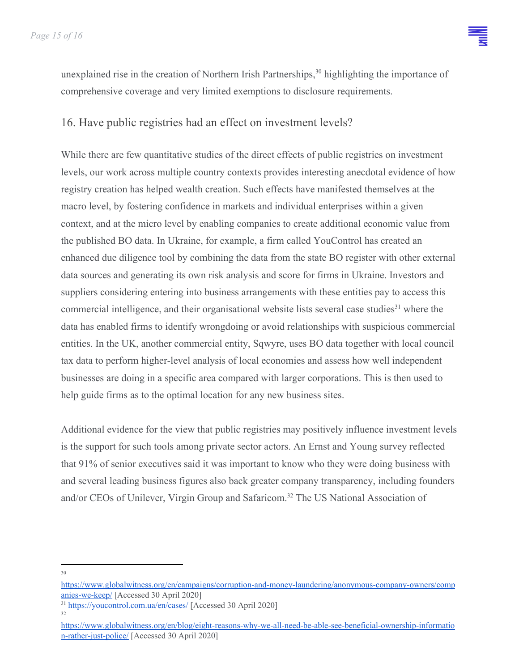

unexplained rise in the creation of Northern Irish Partnerships,<sup>30</sup> highlighting the importance of comprehensive coverage and very limited exemptions to disclosure requirements.

#### 16. Have public registries had an effect on investment levels?

While there are few quantitative studies of the direct effects of public registries on investment levels, our work across multiple country contexts provides interesting anecdotal evidence of how registry creation has helped wealth creation. Such effects have manifested themselves at the macro level, by fostering confidence in markets and individual enterprises within a given context, and at the micro level by enabling companies to create additional economic value from the published BO data. In Ukraine, for example, a firm called YouControl has created an enhanced due diligence tool by combining the data from the state BO register with other external data sources and generating its own risk analysis and score for firms in Ukraine. Investors and suppliers considering entering into business arrangements with these entities pay to access this commercial intelligence, and their organisational website lists [several case studies](https://youcontrol.com.ua/en/cases/)<sup>31</sup> where the data has enabled firms to identify wrongdoing or avoid relationships with suspicious commercial entities. In the UK, another commercial entity, Sqwyre, uses BO data together with local council tax data to perform higher-level analysis of local economies and assess how well independent businesses are doing in a specific area compared with larger corporations. This is then used to help guide firms as to the optimal location for any new business sites.

Additional evidence for the view that public registries may positively influence investment levels is the support for such tools among private sector actors. An Ernst and Young survey reflected that 91% of senior executives said it was important to know who they were doing business with and several leading business figures also back greater company transparency, including founders and/or CEOs of Unilever, Virgin Group and Safaricom.<sup>32</sup> The US National Association of

30

[https://www.globalwitness.org/en/campaigns/corruption-and-money-laundering/anonymous-company-owners/comp](https://www.globalwitness.org/en/campaigns/corruption-and-money-laundering/anonymous-company-owners/companies-we-keep/) [anies-we-keep/](https://www.globalwitness.org/en/campaigns/corruption-and-money-laundering/anonymous-company-owners/companies-we-keep/) [Accessed 30 April 2020]

<sup>&</sup>lt;sup>31</sup> <https://youcontrol.com.ua/en/cases/> [Accessed 30 April 2020] 32

[https://www.globalwitness.org/en/blog/eight-reasons-why-we-all-need-be-able-see-beneficial-ownership-informatio](https://www.globalwitness.org/en/blog/eight-reasons-why-we-all-need-be-able-see-beneficial-ownership-information-rather-just-police/) [n-rather-just-police/](https://www.globalwitness.org/en/blog/eight-reasons-why-we-all-need-be-able-see-beneficial-ownership-information-rather-just-police/) [Accessed 30 April 2020]